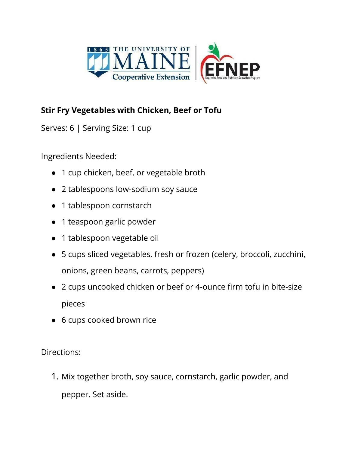

## **Stir Fry Vegetables with Chicken, Beef or Tofu**

Serves: 6 | Serving Size: 1 cup

Ingredients Needed:

- 1 cup chicken, beef, or vegetable broth
- 2 tablespoons low-sodium soy sauce
- 1 tablespoon cornstarch
- 1 teaspoon garlic powder
- 1 tablespoon vegetable oil
- ● 5 cups sliced vegetables, fresh or frozen (celery, broccoli, zucchini, onions, green beans, carrots, peppers)
- ● 2 cups uncooked chicken or beef or 4-ounce firm tofu in bite-size pieces
- 6 cups cooked brown rice

Directions:

 1. Mix together broth, soy sauce, cornstarch, garlic powder, and pepper. Set aside.